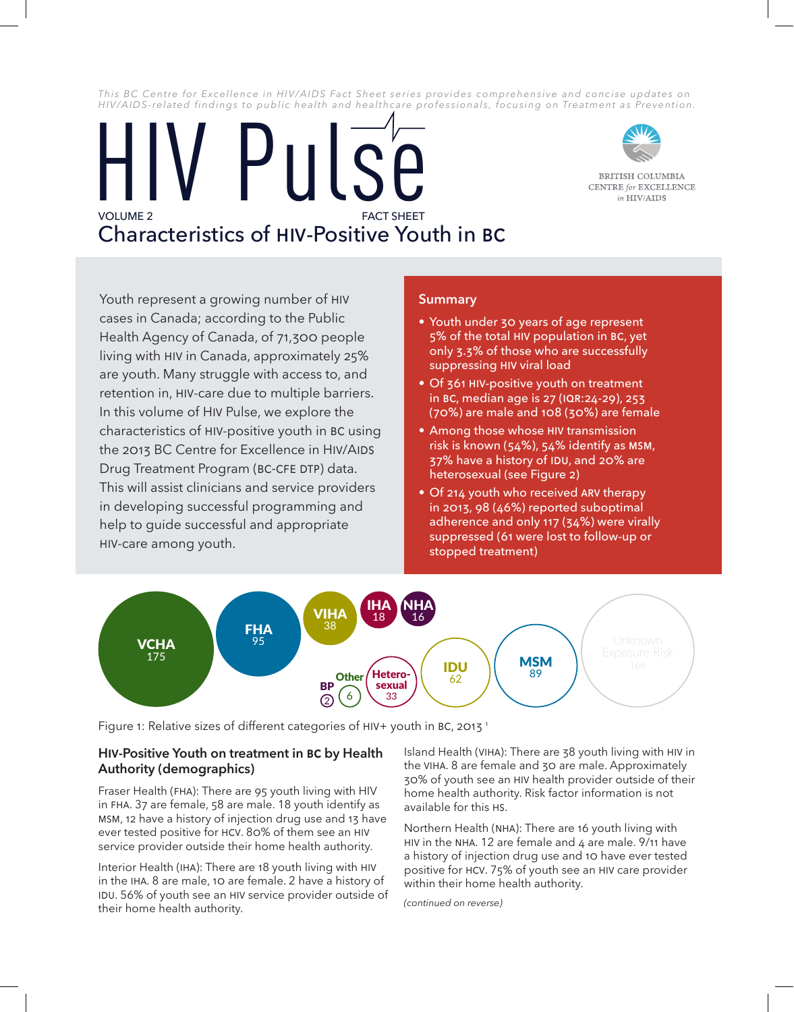*This BC Centre for Excellence in HIV/AIDS Fact Sheet series provides comprehensive and concise updates on HIV/AIDS-related findings to public health and healthcare professionals, focusing on Treatment as Prevention.*

# **FACT SHEET** Characteristics of HIV-Positive Youth in BC **HV Pulse**



BRITISH COLUMBIA **CENTRE** for **EXCELLENCE** in HIV/AIDS

Youth represent a growing number of HIV cases in Canada; according to the Public Health Agency of Canada, of 71,300 people living with HIV in Canada, approximately 25% are youth. Many struggle with access to, and retention in, HIV-care due to multiple barriers. In this volume of HIV Pulse, we explore the characteristics of HIV-positive youth in BC using the 2013 BC Centre for Excellence in HIV/AIDS Drug Treatment Program (BC-CfE DTP) data. This will assist clinicians and service providers in developing successful programming and help to guide successful and appropriate HIV-care among youth.

## **Summary**

- Youth under 30 years of age represent 5% of the total HIV population in BC, yet only 3.3% of those who are successfully suppressing HIV viral load
- Of 361 HIV-positive youth on treatment in BC, median age is 27 (IQR:24-29), 253 (70%) are male and 108 (30%) are female
- Among those whose HIV transmission risk is known (54%), 54% identify as MSM, 37% have a history of IDU, and 20% are heterosexual (see Figure 2)
- Of 214 youth who received ARV therapy in 2013, 98 (46%) reported suboptimal adherence and only 117 (34%) were virally suppressed (61 were lost to follow-up or stopped treatment)



Figure 1: Relative sizes of different categories of HIV+ youth in BC, 2013<sup>1</sup>

# **HIV-Positive Youth on treatment in BC by Health Authority (demographics)**

Fraser Health (FHA): There are 95 youth living with HIV in FHA. 37 are female, 58 are male. 18 youth identify as MSM, 12 have a history of injection drug use and 13 have ever tested positive for HCV. 80% of them see an HIV service provider outside their home health authority.

Interior Health (IHA): There are 18 youth living with HIV in the IHA. 8 are male, 10 are female. 2 have a history of IDU. 56% of youth see an HIV service provider outside of their home health authority.

Island Health (VIHA): There are 38 youth living with HIV in the VIHA. 8 are female and 30 are male. Approximately 30% of youth see an HIV health provider outside of their home health authority. Risk factor information is not available for this HS.

Northern Health (NHA): There are 16 youth living with HIV in the NHA. 12 are female and 4 are male. 9/11 have a history of injection drug use and 10 have ever tested positive for HCV. 75% of youth see an HIV care provider within their home health authority.

*(continued on reverse)*